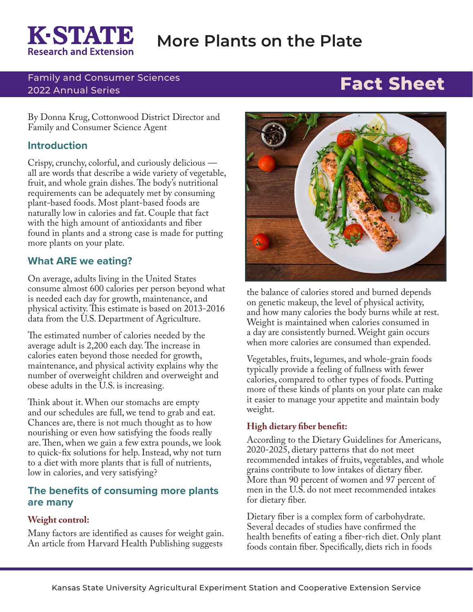# KESTATE **Research and Extension**

# **More Plants on the Plate**

### Family and Consumer Sciences 2022 Annual Series **Fact Sheet**

By Donna Krug, Cottonwood District Director and Family and Consumer Science Agent

# **Introduction**

Crispy, crunchy, colorful, and curiously delicious all are words that describe a wide variety of vegetable, fruit, and whole grain dishes. The body's nutritional requirements can be adequately met by consuming plant-based foods. Most plant-based foods are naturally low in calories and fat. Couple that fact with the high amount of antioxidants and fiber found in plants and a strong case is made for putting more plants on your plate.

# **What ARE we eating?**

On average, adults living in the United States consume almost 600 calories per person beyond what is needed each day for growth, maintenance, and physical activity. This estimate is based on 2013-2016 data from the U.S. Department of Agriculture.

The estimated number of calories needed by the average adult is 2,200 each day. The increase in calories eaten beyond those needed for growth, maintenance, and physical activity explains why the number of overweight children and overweight and obese adults in the U.S. is increasing.

Think about it. When our stomachs are empty and our schedules are full, we tend to grab and eat. Chances are, there is not much thought as to how nourishing or even how satisfying the foods really are. Then, when we gain a few extra pounds, we look to quick-fix solutions for help. Instead, why not turn to a diet with more plants that is full of nutrients, low in calories, and very satisfying?

## **The benefits of consuming more plants are many**

#### **Weight control:**

Many factors are identified as causes for weight gain. An article from Harvard Health Publishing suggests



the balance of calories stored and burned depends on genetic makeup, the level of physical activity, and how many calories the body burns while at rest. Weight is maintained when calories consumed in a day are consistently burned. Weight gain occurs when more calories are consumed than expended.

Vegetables, fruits, legumes, and whole-grain foods typically provide a feeling of fullness with fewer calories, compared to other types of foods. Putting more of these kinds of plants on your plate can make it easier to manage your appetite and maintain body weight.

#### **High dietary fiber benefit:**

According to the Dietary Guidelines for Americans, 2020-2025, dietary patterns that do not meet recommended intakes of fruits, vegetables, and whole grains contribute to low intakes of dietary fiber. More than 90 percent of women and 97 percent of men in the U.S. do not meet recommended intakes for dietary fiber.

Dietary fiber is a complex form of carbohydrate. Several decades of studies have confirmed the health benefits of eating a fiber-rich diet. Only plant foods contain fiber. Specifically, diets rich in foods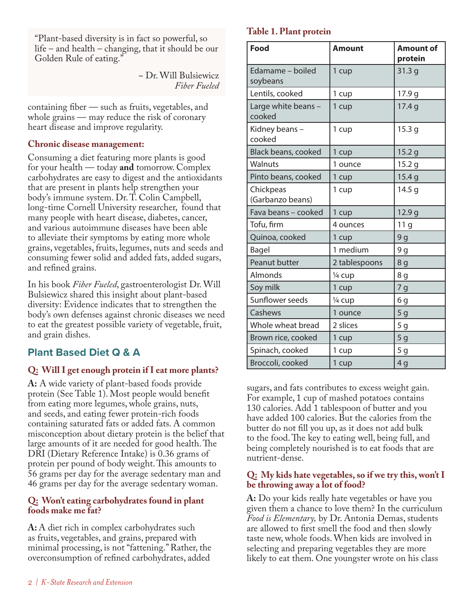"Plant-based diversity is in fact so powerful, so life – and health – changing, that it should be our Golden Rule of eating."

> ~ Dr. Will Bulsiewicz *Fiber Fueled*

containing fiber — such as fruits, vegetables, and whole grains — may reduce the risk of coronary heart disease and improve regularity.

#### **Chronic disease management:**

Consuming a diet featuring more plants is good for your health — today **and** tomorrow. Complex carbohydrates are easy to digest and the antioxidants that are present in plants help strengthen your body's immune system. Dr. T. Colin Campbell, long-time Cornell University researcher, found that many people with heart disease, diabetes, cancer, and various autoimmune diseases have been able to alleviate their symptoms by eating more whole grains, vegetables, fruits, legumes, nuts and seeds and consuming fewer solid and added fats, added sugars, and refined grains.

In his book *Fiber Fueled*, gastroenterologist Dr. Will Bulsiewicz shared this insight about plant-based diversity: Evidence indicates that to strengthen the body's own defenses against chronic diseases we need to eat the greatest possible variety of vegetable, fruit, and grain dishes.

# **Plant Based Diet Q & A**

## **Q: Will I get enough protein if I eat more plants?**

**A:** A wide variety of plant-based foods provide protein (See Table 1). Most people would benefit from eating more legumes, whole grains, nuts, and seeds, and eating fewer protein-rich foods containing saturated fats or added fats. A common misconception about dietary protein is the belief that large amounts of it are needed for good health. The DRI (Dietary Reference Intake) is 0.36 grams of protein per pound of body weight. This amounts to 56 grams per day for the average sedentary man and 46 grams per day for the average sedentary woman.

#### **Q: Won't eating carbohydrates found in plant foods make me fat?**

A: A diet rich in complex carbohydrates such as fruits, vegetables, and grains, prepared with minimal processing, is not "fattening." Rather, the overconsumption of refined carbohydrates, added

#### **Table 1. Plant protein**

| <b>Food</b>                   | Amount        | <b>Amount of</b><br>protein |
|-------------------------------|---------------|-----------------------------|
| Edamame - boiled<br>soybeans  | 1 cup         | 31.3g                       |
| Lentils, cooked               | 1 cup         | 17.9 g                      |
| Large white beans -<br>cooked | 1 cup         | 17.4 g                      |
| Kidney beans-<br>cooked       | 1 cup         | 15.3 <sub>g</sub>           |
| Black beans, cooked           | 1 cup         | 15.2 <sub>g</sub>           |
| Walnuts                       | 1 ounce       | 15.2 g                      |
| Pinto beans, cooked           | 1 cup         | 15.4 <sub>g</sub>           |
| Chickpeas<br>(Garbanzo beans) | 1 cup         | 14.5 <sub>g</sub>           |
| Fava beans - cooked           | 1 cup         | 12.9 g                      |
| Tofu, firm                    | 4 ounces      | 11 g                        |
| Quinoa, cooked                | 1 cup         | 9 <sub>g</sub>              |
| Bagel                         | 1 medium      | 9 <sub>g</sub>              |
| Peanut butter                 | 2 tablespoons | 8 g                         |
| Almonds                       | 1/4 cup       | 8 g                         |
| Soy milk                      | 1 cup         | 7g                          |
| Sunflower seeds               | 1/4 cup       | 6g                          |
| Cashews                       | 1 ounce       | 5 <sub>g</sub>              |
| Whole wheat bread             | 2 slices      | 5 <sub>g</sub>              |
| Brown rice, cooked            | 1 cup         | 5 <sub>g</sub>              |
| Spinach, cooked               | 1 cup         | 5 <sub>g</sub>              |
| Broccoli, cooked              | 1 cup         | 4g                          |

sugars, and fats contributes to excess weight gain. For example, 1 cup of mashed potatoes contains 130 calories. Add 1 tablespoon of butter and you have added 100 calories. But the calories from the butter do not fill you up, as it does not add bulk to the food. The key to eating well, being full, and being completely nourished is to eat foods that are nutrient-dense.

#### **Q: My kids hate vegetables, so if we try this, won't I be throwing away a lot of food?**

**A:** Do your kids really hate vegetables or have you given them a chance to love them? In the curriculum *Food is Elementary,* by Dr. Antonia Demas, students are allowed to first smell the food and then slowly taste new, whole foods. When kids are involved in selecting and preparing vegetables they are more likely to eat them. One youngster wrote on his class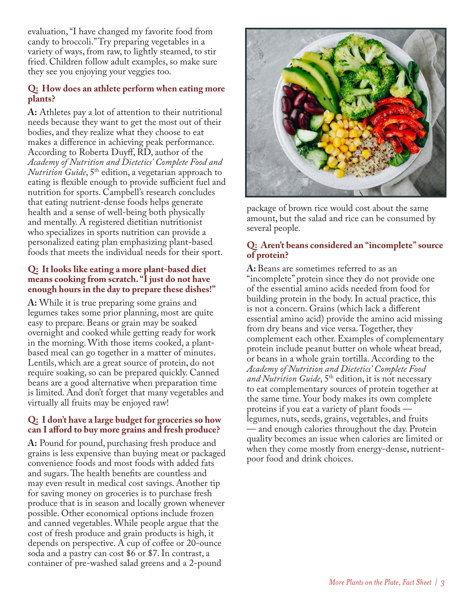evaluation, "I have changed my favorite food from candy to broccoli." Try preparing vegetables in a variety of ways, from raw, to lightly steamed, to stir fried. Children follow adult examples, so make sure they see you enjoying your veggies too.

#### **Q: How does an athlete perform when eating more plants?**

**A:** Athletes pay a lot of attention to their nutritional needs because they want to get the most out of their bodies, and they realize what they choose to eat makes a difference in achieving peak performance. According to Roberta Duyff, RD, author of the *Academy of Nutrition and Dietetics' Complete Food and Nutrition Guide*, 5<sup>th</sup> edition, a vegetarian approach to eating is flexible enough to provide sufficient fuel and nutrition for sports. Campbell's research concludes that eating nutrient-dense foods helps generate health and a sense of well-being both physically and mentally. A registered dietitian nutritionist who specializes in sports nutrition can provide a personalized eating plan emphasizing plant-based foods that meets the individual needs for their sport.

#### **Q: It looks like eating a more plant-based diet means cooking from scratch. "I just do not have enough hours in the day to prepare these dishes!"**

**A:** While it is true preparing some grains and legumes takes some prior planning, most are quite easy to prepare. Beans or grain may be soaked overnight and cooked while getting ready for work in the morning. With those items cooked, a plantbased meal can go together in a matter of minutes. Lentils, which are a great source of protein, do not require soaking, so can be prepared quickly. Canned beans are a good alternative when preparation time is limited. And don't forget that many vegetables and virtually all fruits may be enjoyed raw!

#### **Q: I don't have a large budget for groceries so how can I afford to buy more grains and fresh produce?**

**A:** Pound for pound, purchasing fresh produce and grains is less expensive than buying meat or packaged convenience foods and most foods with added fats and sugars. The health benefits are countless and may even result in medical cost savings. Another tip for saving money on groceries is to purchase fresh produce that is in season and locally grown whenever possible. Other economical options include frozen and canned vegetables. While people argue that the cost of fresh produce and grain products is high, it depends on perspective. A cup of coffee or 20-ounce soda and a pastry can cost \$6 or \$7. In contrast, a container of pre-washed salad greens and a 2-pound



package of brown rice would cost about the same amount, but the salad and rice can be consumed by several people.

#### **Q: Aren't beans considered an "incomplete" source of protein?**

**A:** Beans are sometimes referred to as an "incomplete" protein since they do not provide one of the essential amino acids needed from food for building protein in the body. In actual practice, this is not a concern. Grains (which lack a different essential amino acid) provide the amino acid missing from dry beans and vice versa. Together, they complement each other. Examples of complementary protein include peanut butter on whole wheat bread, or beans in a whole grain tortilla. According to the *Academy of Nutrition and Dietetics' Complete Food*  and Nutrition Guide, 5<sup>th</sup> edition, it is not necessary to eat complementary sources of protein together at the same time. Your body makes its own complete proteins if you eat a variety of plant foods legumes, nuts, seeds, grains, vegetables, and fruits — and enough calories throughout the day. Protein quality becomes an issue when calories are limited or when they come mostly from energy-dense, nutrientpoor food and drink choices.